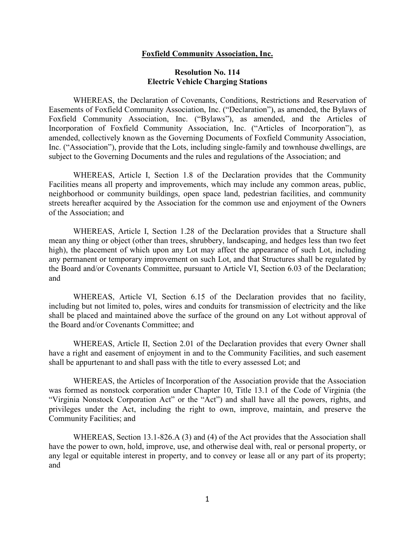### **Foxfield Community Association, Inc.**

### **Resolution No. 114 Electric Vehicle Charging Stations**

 WHEREAS, the Declaration of Covenants, Conditions, Restrictions and Reservation of Easements of Foxfield Community Association, Inc. ("Declaration"), as amended, the Bylaws of Foxfield Community Association, Inc. ("Bylaws"), as amended, and the Articles of Incorporation of Foxfield Community Association, Inc. ("Articles of Incorporation"), as amended, collectively known as the Governing Documents of Foxfield Community Association, Inc. ("Association"), provide that the Lots, including single-family and townhouse dwellings, are subject to the Governing Documents and the rules and regulations of the Association; and

 WHEREAS, Article I, Section 1.8 of the Declaration provides that the Community Facilities means all property and improvements, which may include any common areas, public, neighborhood or community buildings, open space land, pedestrian facilities, and community streets hereafter acquired by the Association for the common use and enjoyment of the Owners of the Association; and

 WHEREAS, Article I, Section 1.28 of the Declaration provides that a Structure shall mean any thing or object (other than trees, shrubbery, landscaping, and hedges less than two feet high), the placement of which upon any Lot may affect the appearance of such Lot, including any permanent or temporary improvement on such Lot, and that Structures shall be regulated by the Board and/or Covenants Committee, pursuant to Article VI, Section 6.03 of the Declaration; and

 WHEREAS, Article VI, Section 6.15 of the Declaration provides that no facility, including but not limited to, poles, wires and conduits for transmission of electricity and the like shall be placed and maintained above the surface of the ground on any Lot without approval of the Board and/or Covenants Committee; and

 WHEREAS, Article II, Section 2.01 of the Declaration provides that every Owner shall have a right and easement of enjoyment in and to the Community Facilities, and such easement shall be appurtenant to and shall pass with the title to every assessed Lot; and

 WHEREAS, the Articles of Incorporation of the Association provide that the Association was formed as nonstock corporation under Chapter 10, Title 13.1 of the Code of Virginia (the "Virginia Nonstock Corporation Act" or the "Act") and shall have all the powers, rights, and privileges under the Act, including the right to own, improve, maintain, and preserve the Community Facilities; and

 WHEREAS, Section 13.1-826.A (3) and (4) of the Act provides that the Association shall have the power to own, hold, improve, use, and otherwise deal with, real or personal property, or any legal or equitable interest in property, and to convey or lease all or any part of its property; and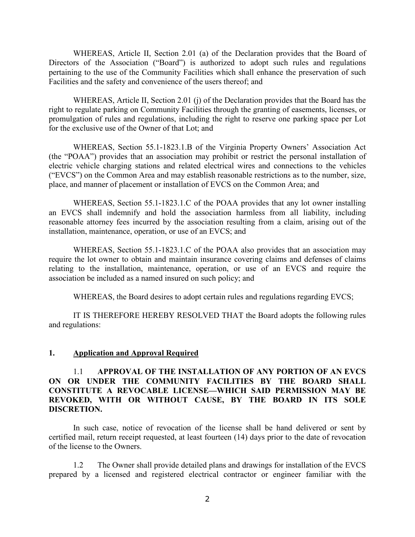WHEREAS, Article II, Section 2.01 (a) of the Declaration provides that the Board of Directors of the Association ("Board") is authorized to adopt such rules and regulations pertaining to the use of the Community Facilities which shall enhance the preservation of such Facilities and the safety and convenience of the users thereof; and

 WHEREAS, Article II, Section 2.01 (j) of the Declaration provides that the Board has the right to regulate parking on Community Facilities through the granting of easements, licenses, or promulgation of rules and regulations, including the right to reserve one parking space per Lot for the exclusive use of the Owner of that Lot; and

 WHEREAS, Section 55.1-1823.1.B of the Virginia Property Owners' Association Act (the "POAA") provides that an association may prohibit or restrict the personal installation of electric vehicle charging stations and related electrical wires and connections to the vehicles ("EVCS") on the Common Area and may establish reasonable restrictions as to the number, size, place, and manner of placement or installation of EVCS on the Common Area; and

 WHEREAS, Section 55.1-1823.1.C of the POAA provides that any lot owner installing an EVCS shall indemnify and hold the association harmless from all liability, including reasonable attorney fees incurred by the association resulting from a claim, arising out of the installation, maintenance, operation, or use of an EVCS; and

 WHEREAS, Section 55.1-1823.1.C of the POAA also provides that an association may require the lot owner to obtain and maintain insurance covering claims and defenses of claims relating to the installation, maintenance, operation, or use of an EVCS and require the association be included as a named insured on such policy; and

WHEREAS, the Board desires to adopt certain rules and regulations regarding EVCS;

 IT IS THEREFORE HEREBY RESOLVED THAT the Board adopts the following rules and regulations:

### **1. Application and Approval Required**

### 1.1 **APPROVAL OF THE INSTALLATION OF ANY PORTION OF AN EVCS ON OR UNDER THE COMMUNITY FACILITIES BY THE BOARD SHALL CONSTITUTE A REVOCABLE LICENSE—WHICH SAID PERMISSION MAY BE REVOKED, WITH OR WITHOUT CAUSE, BY THE BOARD IN ITS SOLE DISCRETION.**

 In such case, notice of revocation of the license shall be hand delivered or sent by certified mail, return receipt requested, at least fourteen (14) days prior to the date of revocation of the license to the Owners.

 1.2 The Owner shall provide detailed plans and drawings for installation of the EVCS prepared by a licensed and registered electrical contractor or engineer familiar with the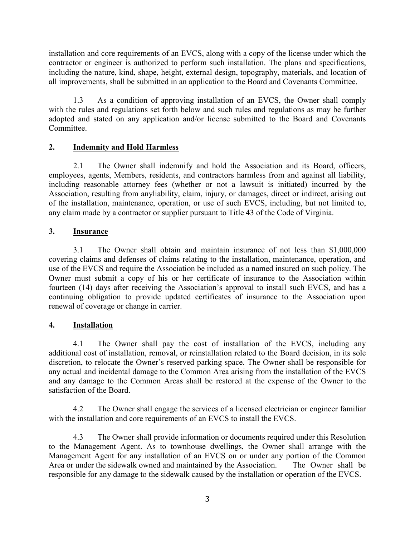installation and core requirements of an EVCS, along with a copy of the license under which the contractor or engineer is authorized to perform such installation. The plans and specifications, including the nature, kind, shape, height, external design, topography, materials, and location of all improvements, shall be submitted in an application to the Board and Covenants Committee.

 1.3 As a condition of approving installation of an EVCS, the Owner shall comply with the rules and regulations set forth below and such rules and regulations as may be further adopted and stated on any application and/or license submitted to the Board and Covenants Committee.

# **2. Indemnity and Hold Harmless**

 2.1 The Owner shall indemnify and hold the Association and its Board, officers, employees, agents, Members, residents, and contractors harmless from and against all liability, including reasonable attorney fees (whether or not a lawsuit is initiated) incurred by the Association, resulting from anyliability, claim, injury, or damages, direct or indirect, arising out of the installation, maintenance, operation, or use of such EVCS, including, but not limited to, any claim made by a contractor or supplier pursuant to Title 43 of the Code of Virginia.

## **3. Insurance**

 3.1 The Owner shall obtain and maintain insurance of not less than \$1,000,000 covering claims and defenses of claims relating to the installation, maintenance, operation, and use of the EVCS and require the Association be included as a named insured on such policy. The Owner must submit a copy of his or her certificate of insurance to the Association within fourteen (14) days after receiving the Association's approval to install such EVCS, and has a continuing obligation to provide updated certificates of insurance to the Association upon renewal of coverage or change in carrier.

# **4. Installation**

 4.1 The Owner shall pay the cost of installation of the EVCS, including any additional cost of installation, removal, or reinstallation related to the Board decision, in its sole discretion, to relocate the Owner's reserved parking space. The Owner shall be responsible for any actual and incidental damage to the Common Area arising from the installation of the EVCS and any damage to the Common Areas shall be restored at the expense of the Owner to the satisfaction of the Board.

 4.2 The Owner shall engage the services of a licensed electrician or engineer familiar with the installation and core requirements of an EVCS to install the EVCS.

 4.3 The Owner shall provide information or documents required under this Resolution to the Management Agent. As to townhouse dwellings, the Owner shall arrange with the Management Agent for any installation of an EVCS on or under any portion of the Common Area or under the sidewalk owned and maintained by the Association. The Owner shall be responsible for any damage to the sidewalk caused by the installation or operation of the EVCS.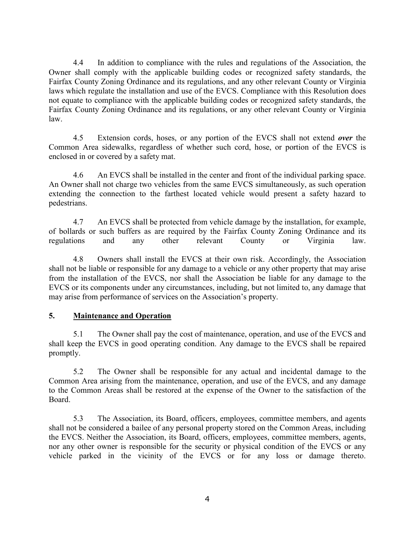4.4 In addition to compliance with the rules and regulations of the Association, the Owner shall comply with the applicable building codes or recognized safety standards, the Fairfax County Zoning Ordinance and its regulations, and any other relevant County or Virginia laws which regulate the installation and use of the EVCS. Compliance with this Resolution does not equate to compliance with the applicable building codes or recognized safety standards, the Fairfax County Zoning Ordinance and its regulations, or any other relevant County or Virginia law.

 4.5 Extension cords, hoses, or any portion of the EVCS shall not extend *over* the Common Area sidewalks, regardless of whether such cord, hose, or portion of the EVCS is enclosed in or covered by a safety mat.

 4.6 An EVCS shall be installed in the center and front of the individual parking space. An Owner shall not charge two vehicles from the same EVCS simultaneously, as such operation extending the connection to the farthest located vehicle would present a safety hazard to pedestrians.

 4.7 An EVCS shall be protected from vehicle damage by the installation, for example, of bollards or such buffers as are required by the Fairfax County Zoning Ordinance and its<br>regulations and any other relevant County or Virginia law regulations and any other relevant County or Virginia law.

 4.8 Owners shall install the EVCS at their own risk. Accordingly, the Association shall not be liable or responsible for any damage to a vehicle or any other property that may arise from the installation of the EVCS, nor shall the Association be liable for any damage to the EVCS or its components under any circumstances, including, but not limited to, any damage that may arise from performance of services on the Association's property.

## **5. Maintenance and Operation**

 5.1 The Owner shall pay the cost of maintenance, operation, and use of the EVCS and shall keep the EVCS in good operating condition. Any damage to the EVCS shall be repaired promptly.

 5.2 The Owner shall be responsible for any actual and incidental damage to the Common Area arising from the maintenance, operation, and use of the EVCS, and any damage to the Common Areas shall be restored at the expense of the Owner to the satisfaction of the Board.

 5.3 The Association, its Board, officers, employees, committee members, and agents shall not be considered a bailee of any personal property stored on the Common Areas, including the EVCS. Neither the Association, its Board, officers, employees, committee members, agents, nor any other owner is responsible for the security or physical condition of the EVCS or any vehicle parked in the vicinity of the EVCS or for any loss or damage thereto.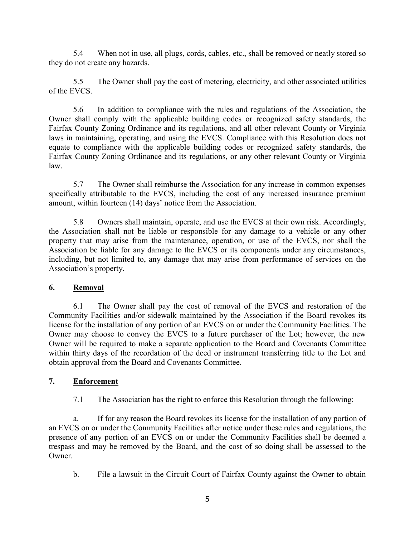5.4 When not in use, all plugs, cords, cables, etc., shall be removed or neatly stored so they do not create any hazards.

 5.5 The Owner shall pay the cost of metering, electricity, and other associated utilities of the EVCS.

 5.6 In addition to compliance with the rules and regulations of the Association, the Owner shall comply with the applicable building codes or recognized safety standards, the Fairfax County Zoning Ordinance and its regulations, and all other relevant County or Virginia laws in maintaining, operating, and using the EVCS. Compliance with this Resolution does not equate to compliance with the applicable building codes or recognized safety standards, the Fairfax County Zoning Ordinance and its regulations, or any other relevant County or Virginia law.

 5.7 The Owner shall reimburse the Association for any increase in common expenses specifically attributable to the EVCS, including the cost of any increased insurance premium amount, within fourteen (14) days' notice from the Association.

5.8 Owners shall maintain, operate, and use the EVCS at their own risk. Accordingly, the Association shall not be liable or responsible for any damage to a vehicle or any other property that may arise from the maintenance, operation, or use of the EVCS, nor shall the Association be liable for any damage to the EVCS or its components under any circumstances, including, but not limited to, any damage that may arise from performance of services on the Association's property.

## **6. Removal**

 6.1 The Owner shall pay the cost of removal of the EVCS and restoration of the Community Facilities and/or sidewalk maintained by the Association if the Board revokes its license for the installation of any portion of an EVCS on or under the Community Facilities. The Owner may choose to convey the EVCS to a future purchaser of the Lot; however, the new Owner will be required to make a separate application to the Board and Covenants Committee within thirty days of the recordation of the deed or instrument transferring title to the Lot and obtain approval from the Board and Covenants Committee.

## **7. Enforcement**

7.1 The Association has the right to enforce this Resolution through the following:

 a. If for any reason the Board revokes its license for the installation of any portion of an EVCS on or under the Community Facilities after notice under these rules and regulations, the presence of any portion of an EVCS on or under the Community Facilities shall be deemed a trespass and may be removed by the Board, and the cost of so doing shall be assessed to the Owner.

b. File a lawsuit in the Circuit Court of Fairfax County against the Owner to obtain